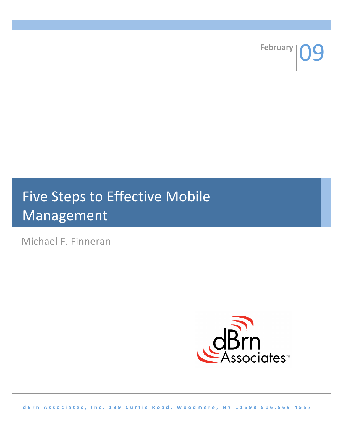**February** 

# Five Steps to Effective Mobile Management

Michael F. Finneran



**d B r n A s s o c i a t e s , I n c . 1 8 9 C u r t i s R o a d , W o o d m e r e , N Y 1 1 5 9 8 5 1 6 . 5 6 9 . 4 5 5 7**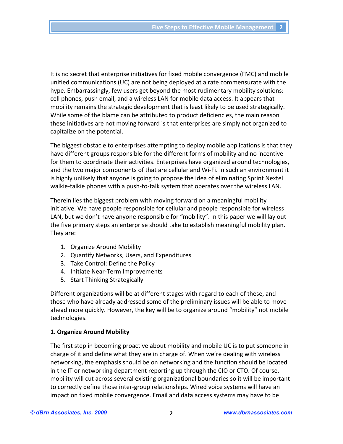It is no secret that enterprise initiatives for fixed mobile convergence (FMC) and mobile unified communications (UC) are not being deployed at a rate commensurate with the hype. Embarrassingly, few users get beyond the most rudimentary mobility solutions: cell phones, push email, and a wireless LAN for mobile data access. It appears that mobility remains the strategic development that is least likely to be used strategically. While some of the blame can be attributed to product deficiencies, the main reason these initiatives are not moving forward is that enterprises are simply not organized to capitalize on the potential.

The biggest obstacle to enterprises attempting to deploy mobile applications is that they have different groups responsible for the different forms of mobility and no incentive for them to coordinate their activities. Enterprises have organized around technologies, and the two major components of that are cellular and Wi‐Fi. In such an environment it is highly unlikely that anyone is going to propose the idea of eliminating Sprint Nextel walkie-talkie phones with a push-to-talk system that operates over the wireless LAN.

Therein lies the biggest problem with moving forward on a meaningful mobility initiative. We have people responsible for cellular and people responsible for wireless LAN, but we don't have anyone responsible for "mobility". In this paper we will lay out the five primary steps an enterprise should take to establish meaningful mobility plan. They are:

- 1. Organize Around Mobility
- 2. Quantify Networks, Users, and Expenditures
- 3. Take Control: Define the Policy
- 4. Initiate Near‐Term Improvements
- 5. Start Thinking Strategically

Different organizations will be at different stages with regard to each of these, and those who have already addressed some of the preliminary issues will be able to move ahead more quickly. However, the key will be to organize around "mobility" not mobile technologies.

# **1. Organize Around Mobility**

The first step in becoming proactive about mobility and mobile UC is to put someone in charge of it and define what they are in charge of. When we're dealing with wireless networking, the emphasis should be on networking and the function should be located in the IT or networking department reporting up through the CIO or CTO. Of course, mobility will cut across several existing organizational boundaries so it will be important to correctly define those inter‐group relationships. Wired voice systems will have an impact on fixed mobile convergence. Email and data access systems may have to be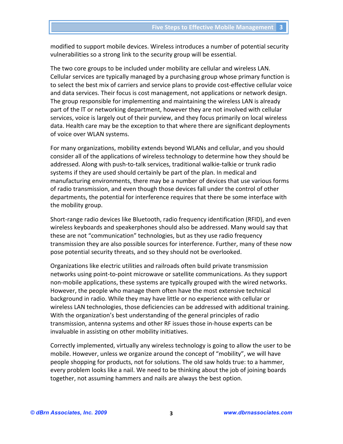modified to support mobile devices. Wireless introduces a number of potential security vulnerabilities so a strong link to the security group will be essential.

The two core groups to be included under mobility are cellular and wireless LAN. Cellular services are typically managed by a purchasing group whose primary function is to select the best mix of carriers and service plans to provide cost-effective cellular voice and data services. Their focus is cost management, not applications or network design. The group responsible for implementing and maintaining the wireless LAN is already part of the lT or networking department, however they are not involved with cellular services, voice is largely out of their purview, and they focus primarily on local wireless data. Health care may be the exception to that where there are significant deployments of voice over WLAN systems.

For many organizations, mobility extends beyond WLANs and cellular, and you should consider all of the applications of wireless technology to determine how they should be addressed. Along with push‐to‐talk services, traditional walkie‐talkie or trunk radio systems if they are used should certainly be part of the plan. In medical and manufacturing environments, there may be a number of devices that use various forms of radio transmission, and even though those devices fall under the control of other departments, the potential for interference requires that there be some interface with the mobility group.

Short‐range radio devices like Bluetooth, radio frequency identification (RFID), and even wireless keyboards and speakerphones should also be addressed. Many would say that these are not "communication" technologies, but as they use radio frequency transmission they are also possible sources for interference. Further, many of these now pose potential security threats, and so they should not be overlooked.

Organizations like electric utilities and railroads often build private transmission networks using point‐to‐point microwave or satellite communications. As they support non‐mobile applications, these systems are typically grouped with the wired networks. However, the people who manage them often have the most extensive technical background in radio. While they may have little or no experience with cellular or wireless LAN technologies, those deficiencies can be addressed with additional training. With the organization's best understanding of the general principles of radio transmission, antenna systems and other RF issues those in‐house experts can be invaluable in assisting on other mobility initiatives.

Correctly implemented, virtually any wireless technology is going to allow the user to be mobile. However, unless we organize around the concept of "mobility", we will have people shopping for products, not for solutions. The old saw holds true: to a hammer, every problem looks like a nail. We need to be thinking about the job of joining boards together, not assuming hammers and nails are always the best option.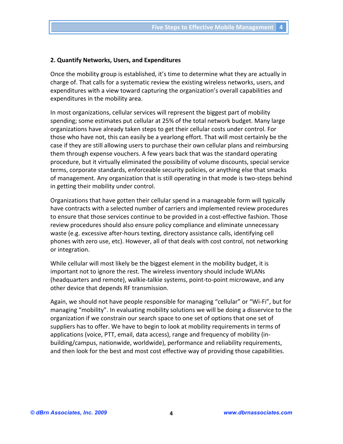#### **2. Quantify Networks, Users, and Expenditures**

Once the mobility group is established, it's time to determine what they are actually in charge of. That calls for a systematic review the existing wireless networks, users, and expenditures with a view toward capturing the organization's overall capabilities and expenditures in the mobility area.

In most organizations, cellular services will represent the biggest part of mobility spending; some estimates put cellular at 25% of the total network budget. Many large organizations have already taken steps to get their cellular costs under control. For those who have not, this can easily be a yearlong effort. That will most certainly be the case if they are still allowing users to purchase their own cellular plans and reimbursing them through expense vouchers. A few years back that was the standard operating procedure, but it virtually eliminated the possibility of volume discounts, special service terms, corporate standards, enforceable security policies, or anything else that smacks of management. Any organization that is still operating in that mode is two‐steps behind in getting their mobility under control.

Organizations that have gotten their cellular spend in a manageable form will typically have contracts with a selected number of carriers and implemented review procedures to ensure that those services continue to be provided in a cost-effective fashion. Those review procedures should also ensure policy compliance and eliminate unnecessary waste (e.g. excessive after-hours texting, directory assistance calls, identifying cell phones with zero use, etc). However, all of that deals with cost control, not networking or integration.

While cellular will most likely be the biggest element in the mobility budget, it is important not to ignore the rest. The wireless inventory should include WLANs (headquarters and remote), walkie‐talkie systems, point‐to‐point microwave, and any other device that depends RF transmission.

Again, we should not have people responsible for managing "cellular" or "Wi‐Fi", but for managing "mobility". In evaluating mobility solutions we will be doing a disservice to the organization if we constrain our search space to one set of options that one set of suppliers has to offer. We have to begin to look at mobility requirements in terms of applications (voice, PTT, email, data access), range and frequency of mobility (in‐ building/campus, nationwide, worldwide), performance and reliability requirements, and then look for the best and most cost effective way of providing those capabilities.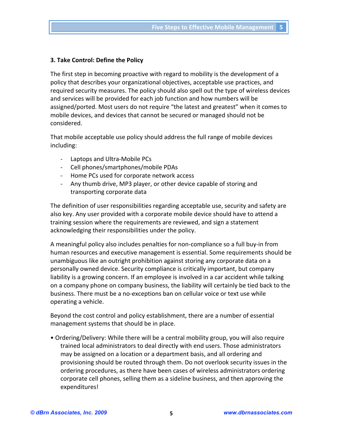### **3. Take Control: Define the Policy**

The first step in becoming proactive with regard to mobility is the development of a policy that describes your organizational objectives, acceptable use practices, and required security measures. The policy should also spell out the type of wireless devices and services will be provided for each job function and how numbers will be assigned/ported. Most users do not require "the latest and greatest" when it comes to mobile devices, and devices that cannot be secured or managed should not be considered.

That mobile acceptable use policy should address the full range of mobile devices including:

- ‐ Laptops and Ultra‐Mobile PCs
- ‐ Cell phones/smartphones/mobile PDAs
- ‐ Home PCs used for corporate network access
- ‐ Any thumb drive, MP3 player, or other device capable of storing and transporting corporate data

The definition of user responsibilities regarding acceptable use, security and safety are also key. Any user provided with a corporate mobile device should have to attend a training session where the requirements are reviewed, and sign a statement acknowledging their responsibilities under the policy.

A meaningful policy also includes penalties for non‐compliance so a full buy‐in from human resources and executive management is essential. Some requirements should be unambiguous like an outright prohibition against storing any corporate data on a personally owned device. Security compliance is critically important, but company liability is a growing concern. If an employee is involved in a car accident while talking on a company phone on company business, the liability will certainly be tied back to the business. There must be a no‐exceptions ban on cellular voice or text use while operating a vehicle.

Beyond the cost control and policy establishment, there are a number of essential management systems that should be in place.

• Ordering/Delivery: While there will be a central mobility group, you will also require trained local administrators to deal directly with end users. Those administrators may be assigned on a location or a department basis, and all ordering and provisioning should be routed through them. Do not overlook security issues in the ordering procedures, as there have been cases of wireless administrators ordering corporate cell phones, selling them as a sideline business, and then approving the expenditures!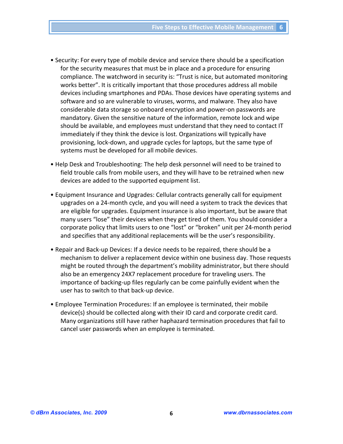- Security: For every type of mobile device and service there should be a specification for the security measures that must be in place and a procedure for ensuring compliance. The watchword in security is: "Trust is nice, but automated monitoring works better". It is critically important that those procedures address all mobile devices including smartphones and PDAs. Those devices have operating systems and software and so are vulnerable to viruses, worms, and malware. They also have considerable data storage so onboard encryption and power‐on passwords are mandatory. Given the sensitive nature of the information, remote lock and wipe should be available, and employees must understand that they need to contact IT immediately if they think the device is lost. Organizations will typically have provisioning, lock‐down, and upgrade cycles for laptops, but the same type of systems must be developed for all mobile devices.
- Help Desk and Troubleshooting: The help desk personnel will need to be trained to field trouble calls from mobile users, and they will have to be retrained when new devices are added to the supported equipment list.
- Equipment Insurance and Upgrades: Cellular contracts generally call for equipment upgrades on a 24‐month cycle, and you will need a system to track the devices that are eligible for upgrades. Equipment insurance is also important, but be aware that many users "lose" their devices when they get tired of them. You should consider a corporate policy that limits users to one "lost" or "broken" unit per 24‐month period and specifies that any additional replacements will be the user's responsibility.
- Repair and Back‐up Devices: If a device needs to be repaired, there should be a mechanism to deliver a replacement device within one business day. Those requests might be routed through the department's mobility administrator, but there should also be an emergency 24X7 replacement procedure for traveling users. The importance of backing‐up files regularly can be come painfully evident when the user has to switch to that back‐up device.
- Employee Termination Procedures: If an employee is terminated, their mobile device(s) should be collected along with their ID card and corporate credit card. Many organizations still have rather haphazard termination procedures that fail to cancel user passwords when an employee is terminated.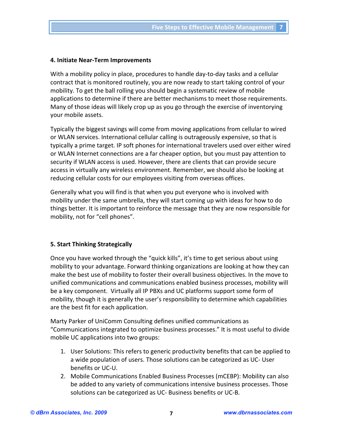#### **4. Initiate Near‐Term Improvements**

With a mobility policy in place, procedures to handle day-to-day tasks and a cellular contract that is monitored routinely, you are now ready to start taking control of your mobility. To get the ball rolling you should begin a systematic review of mobile applications to determine if there are better mechanisms to meet those requirements. Many of those ideas will likely crop up as you go through the exercise of inventorying your mobile assets.

Typically the biggest savings will come from moving applications from cellular to wired or WLAN services. International cellular calling is outrageously expensive, so that is typically a prime target. IP soft phones for international travelers used over either wired or WLAN Internet connections are a far cheaper option, but you must pay attention to security if WLAN access is used. However, there are clients that can provide secure access in virtually any wireless environment. Remember, we should also be looking at reducing cellular costs for our employees visiting from overseas offices.

Generally what you will find is that when you put everyone who is involved with mobility under the same umbrella, they will start coming up with ideas for how to do things better. It is important to reinforce the message that they are now responsible for mobility, not for "cell phones".

# **5. Start Thinking Strategically**

Once you have worked through the "quick kills", it's time to get serious about using mobility to your advantage. Forward thinking organizations are looking at how they can make the best use of mobility to foster their overall business objectives. In the move to unified communications and communications enabled business processes, mobility will be a key component. Virtually all IP PBXs and UC platforms support some form of mobility, though it is generally the user's responsibility to determine which capabilities are the best fit for each application.

Marty Parker of UniComm Consulting defines unified communications as "Communications integrated to optimize business processes." It is most useful to divide mobile UC applications into two groups:

- 1. User Solutions: This refers to generic productivity benefits that can be applied to a wide population of users. Those solutions can be categorized as UC‐ User benefits or UC‐U.
- 2. Mobile Communications Enabled Business Processes (mCEBP): Mobility can also be added to any variety of communications intensive business processes. Those solutions can be categorized as UC‐ Business benefits or UC‐B.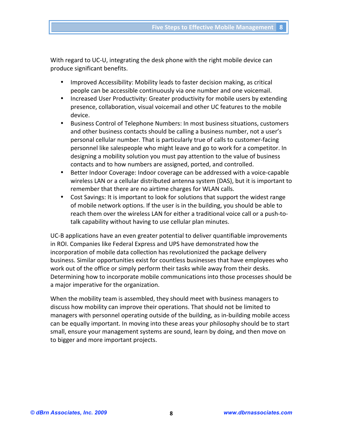With regard to UC-U, integrating the desk phone with the right mobile device can produce significant benefits.

- Improved Accessibility: Mobility leads to faster decision making, as critical people can be accessible continuously via one number and one voicemail.
- Increased User Productivity: Greater productivity for mobile users by extending presence, collaboration, visual voicemail and other UC features to the mobile device.
- Business Control of Telephone Numbers: In most business situations, customers and other business contacts should be calling a business number, not a user's personal cellular number. That is particularly true of calls to customer‐facing personnel like salespeople who might leave and go to work for a competitor. In designing a mobility solution you must pay attention to the value of business contacts and to how numbers are assigned, ported, and controlled.
- Better Indoor Coverage: Indoor coverage can be addressed with a voice-capable wireless LAN or a cellular distributed antenna system (DAS), but it is important to remember that there are no airtime charges for WLAN calls.
- Cost Savings: It is important to look for solutions that support the widest range of mobile network options. If the user is in the building, you should be able to reach them over the wireless LAN for either a traditional voice call or a push-totalk capability without having to use cellular plan minutes.

UC‐B applications have an even greater potential to deliver quantifiable improvements in ROI. Companies like Federal Express and UPS have demonstrated how the incorporation of mobile data collection has revolutionized the package delivery business. Similar opportunities exist for countless businesses that have employees who work out of the office or simply perform their tasks while away from their desks. Determining how to incorporate mobile communications into those processes should be a major imperative for the organization.

When the mobility team is assembled, they should meet with business managers to discuss how mobility can improve their operations. That should not be limited to managers with personnel operating outside of the building, as in‐building mobile access can be equally important. In moving into these areas your philosophy should be to start small, ensure your management systems are sound, learn by doing, and then move on to bigger and more important projects.